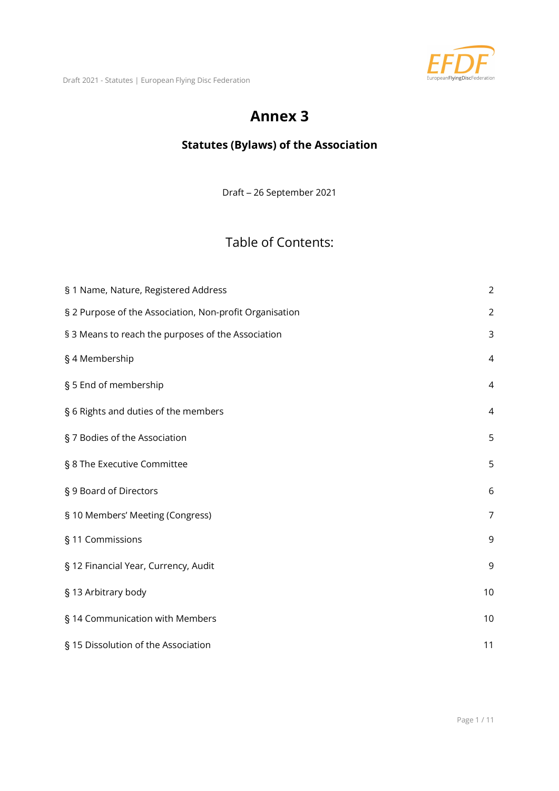

#### Annex 3

#### Statutes (Bylaws) of the Association

Draft – 26 September 2021

#### Table of Contents:

| § 1 Name, Nature, Registered Address                    | $\overline{2}$ |
|---------------------------------------------------------|----------------|
| § 2 Purpose of the Association, Non-profit Organisation | $\overline{2}$ |
| § 3 Means to reach the purposes of the Association      | 3              |
| §4 Membership                                           | 4              |
| § 5 End of membership                                   | $\overline{4}$ |
| § 6 Rights and duties of the members                    | $\overline{4}$ |
| § 7 Bodies of the Association                           | 5              |
| § 8 The Executive Committee                             | 5              |
| § 9 Board of Directors                                  | 6              |
| § 10 Members' Meeting (Congress)                        | $\overline{7}$ |
| § 11 Commissions                                        | 9              |
| § 12 Financial Year, Currency, Audit                    | $\mathsf 9$    |
| § 13 Arbitrary body                                     | 10             |
| § 14 Communication with Members                         | 10             |
| § 15 Dissolution of the Association                     | 11             |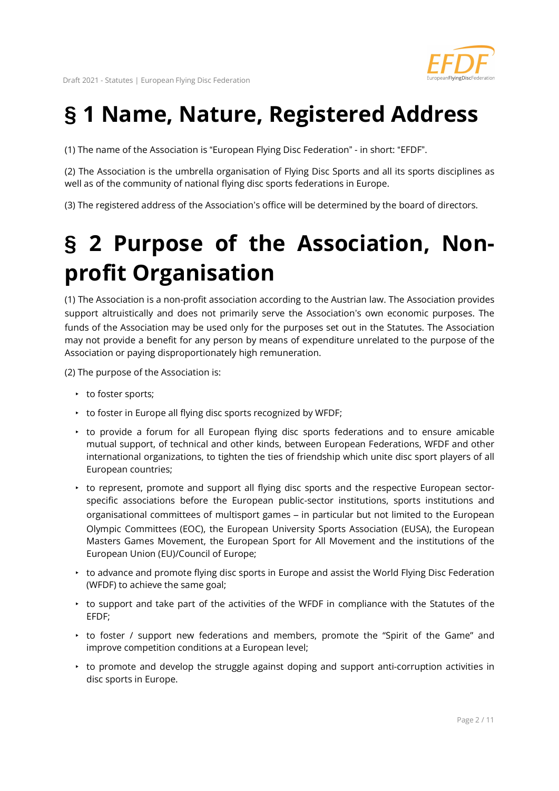

#### § 1 Name, Nature, Registered Address

(1) The name of the Association is "European Flying Disc Federation" - in short: "EFDF".

(2) The Association is the umbrella organisation of Flying Disc Sports and all its sports disciplines as well as of the community of national flying disc sports federations in Europe.

(3) The registered address of the Association's office will be determined by the board of directors.

## § 2 Purpose of the Association, Nonprofit Organisation

(1) The Association is a non-profit association according to the Austrian law. The Association provides support altruistically and does not primarily serve the Association's own economic purposes. The funds of the Association may be used only for the purposes set out in the Statutes. The Association may not provide a benefit for any person by means of expenditure unrelated to the purpose of the Association or paying disproportionately high remuneration.

(2) The purpose of the Association is:

- to foster sports;
- ‣ to foster in Europe all flying disc sports recognized by WFDF;
- ‣ to provide a forum for all European flying disc sports federations and to ensure amicable mutual support, of technical and other kinds, between European Federations, WFDF and other international organizations, to tighten the ties of friendship which unite disc sport players of all European countries;
- ‣ to represent, promote and support all flying disc sports and the respective European sectorspecific associations before the European public-sector institutions, sports institutions and organisational committees of multisport games – in particular but not limited to the European Olympic Committees (EOC), the European University Sports Association (EUSA), the European Masters Games Movement, the European Sport for All Movement and the institutions of the European Union (EU)/Council of Europe;
- ‣ to advance and promote flying disc sports in Europe and assist the World Flying Disc Federation (WFDF) to achieve the same goal;
- ‣ to support and take part of the activities of the WFDF in compliance with the Statutes of the EFDF;
- ‣ to foster / support new federations and members, promote the "Spirit of the Game" and improve competition conditions at a European level;
- ‣ to promote and develop the struggle against doping and support anti-corruption activities in disc sports in Europe.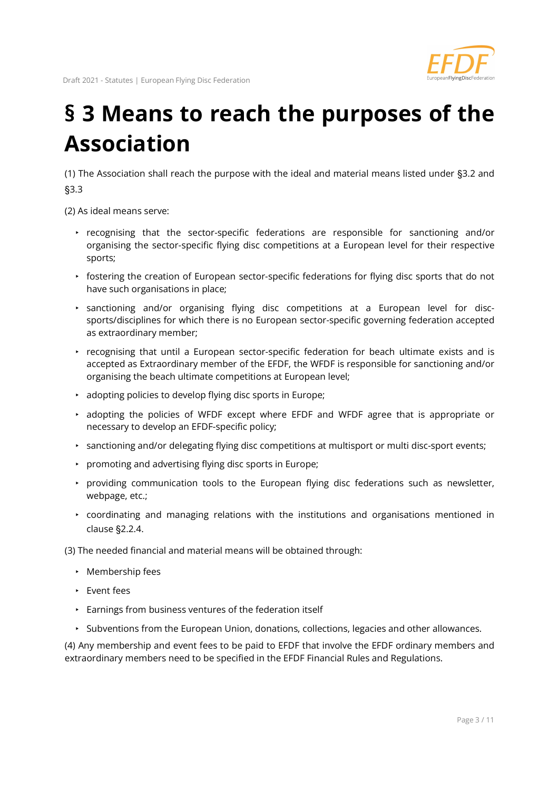

#### § 3 Means to reach the purposes of the Association

(1) The Association shall reach the purpose with the ideal and material means listed under §3.2 and §3.3

(2) As ideal means serve:

- ‣ recognising that the sector-specific federations are responsible for sanctioning and/or organising the sector-specific flying disc competitions at a European level for their respective sports;
- ‣ fostering the creation of European sector-specific federations for flying disc sports that do not have such organisations in place;
- ‣ sanctioning and/or organising flying disc competitions at a European level for discsports/disciplines for which there is no European sector-specific governing federation accepted as extraordinary member;
- ‣ recognising that until a European sector-specific federation for beach ultimate exists and is accepted as Extraordinary member of the EFDF, the WFDF is responsible for sanctioning and/or organising the beach ultimate competitions at European level;
- ‣ adopting policies to develop flying disc sports in Europe;
- ‣ adopting the policies of WFDF except where EFDF and WFDF agree that is appropriate or necessary to develop an EFDF-specific policy;
- ‣ sanctioning and/or delegating flying disc competitions at multisport or multi disc-sport events;
- ‣ promoting and advertising flying disc sports in Europe;
- ‣ providing communication tools to the European flying disc federations such as newsletter, webpage, etc.;
- ‣ coordinating and managing relations with the institutions and organisations mentioned in clause §2.2.4.

(3) The needed financial and material means will be obtained through:

- ‣ Membership fees
- ‣ Event fees
- ‣ Earnings from business ventures of the federation itself
- ‣ Subventions from the European Union, donations, collections, legacies and other allowances.

(4) Any membership and event fees to be paid to EFDF that involve the EFDF ordinary members and extraordinary members need to be specified in the EFDF Financial Rules and Regulations.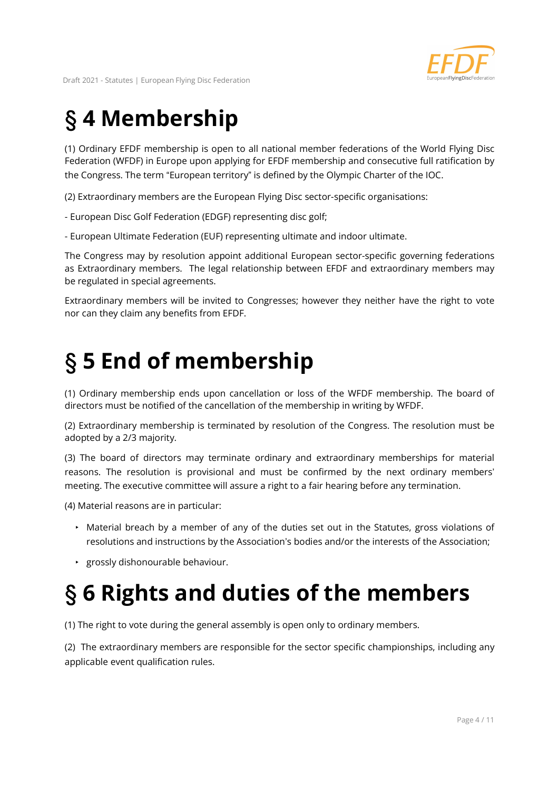

# § 4 Membership

(1) Ordinary EFDF membership is open to all national member federations of the World Flying Disc Federation (WFDF) in Europe upon applying for EFDF membership and consecutive full ratification by the Congress. The term "European territory" is defined by the Olympic Charter of the IOC.

(2) Extraordinary members are the European Flying Disc sector-specific organisations:

- European Disc Golf Federation (EDGF) representing disc golf;

- European Ultimate Federation (EUF) representing ultimate and indoor ultimate.

The Congress may by resolution appoint additional European sector-specific governing federations as Extraordinary members. The legal relationship between EFDF and extraordinary members may be regulated in special agreements.

Extraordinary members will be invited to Congresses; however they neither have the right to vote nor can they claim any benefits from EFDF.

#### § 5 End of membership

(1) Ordinary membership ends upon cancellation or loss of the WFDF membership. The board of directors must be notified of the cancellation of the membership in writing by WFDF.

(2) Extraordinary membership is terminated by resolution of the Congress. The resolution must be adopted by a 2/3 majority.

(3) The board of directors may terminate ordinary and extraordinary memberships for material reasons. The resolution is provisional and must be confirmed by the next ordinary members' meeting. The executive committee will assure a right to a fair hearing before any termination.

(4) Material reasons are in particular:

- ‣ Material breach by a member of any of the duties set out in the Statutes, gross violations of resolutions and instructions by the Association's bodies and/or the interests of the Association;
- ‣ grossly dishonourable behaviour.

# § 6 Rights and duties of the members

(1) The right to vote during the general assembly is open only to ordinary members.

(2) The extraordinary members are responsible for the sector specific championships, including any applicable event qualification rules.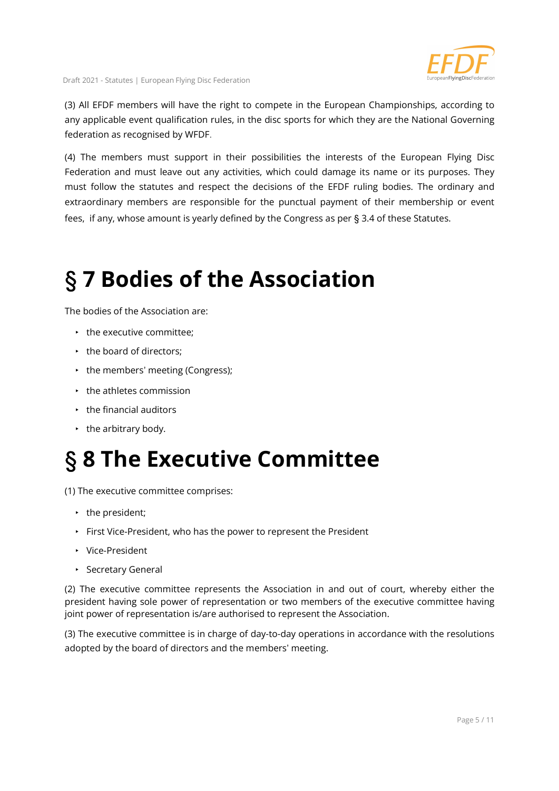

(3) All EFDF members will have the right to compete in the European Championships, according to any applicable event qualification rules, in the disc sports for which they are the National Governing federation as recognised by WFDF.

(4) The members must support in their possibilities the interests of the European Flying Disc Federation and must leave out any activities, which could damage its name or its purposes. They must follow the statutes and respect the decisions of the EFDF ruling bodies. The ordinary and extraordinary members are responsible for the punctual payment of their membership or event fees, if any, whose amount is yearly defined by the Congress as per § 3.4 of these Statutes.

#### § 7 Bodies of the Association

The bodies of the Association are:

- $\cdot$  the executive committee:
- the board of directors;
- the members' meeting (Congress);
- $\cdot$  the athletes commission
- $\cdot$  the financial auditors
- $\cdot$  the arbitrary body.

## § 8 The Executive Committee

(1) The executive committee comprises:

- the president;
- ‣ First Vice-President, who has the power to represent the President
- ‣ Vice-President
- ‣ Secretary General

(2) The executive committee represents the Association in and out of court, whereby either the president having sole power of representation or two members of the executive committee having joint power of representation is/are authorised to represent the Association.

(3) The executive committee is in charge of day-to-day operations in accordance with the resolutions adopted by the board of directors and the members' meeting.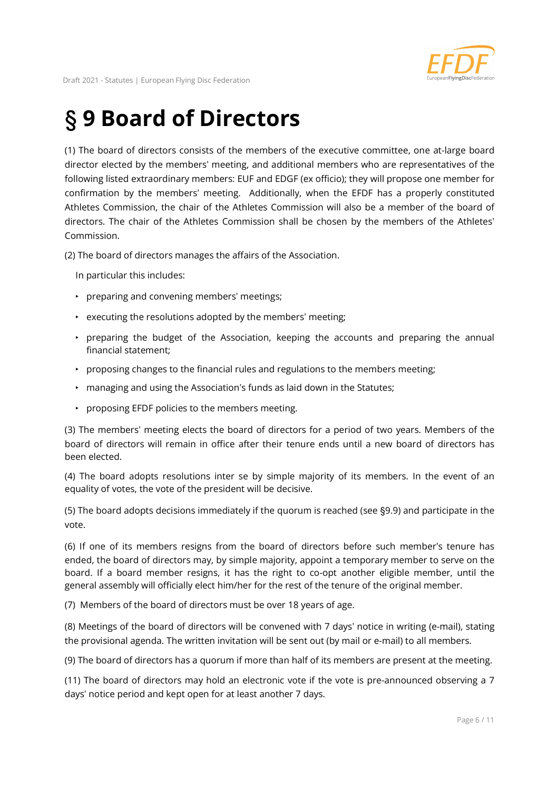

## § 9 Board of Directors

(1) The board of directors consists of the members of the executive committee, one at-large board director elected by the members' meeting, and additional members who are representatives of the following listed extraordinary members: EUF and EDGF (ex officio); they will propose one member for confirmation by the members' meeting. Additionally, when the EFDF has a properly constituted Athletes Commission, the chair of the Athletes Commission will also be a member of the board of directors. The chair of the Athletes Commission shall be chosen by the members of the Athletes' Commission.

(2) The board of directors manages the affairs of the Association.

In particular this includes:

- ‣ preparing and convening members' meetings;
- $\cdot$  executing the resolutions adopted by the members' meeting;
- ‣ preparing the budget of the Association, keeping the accounts and preparing the annual financial statement;
- ‣ proposing changes to the financial rules and regulations to the members meeting;
- ‣ managing and using the Association's funds as laid down in the Statutes;
- ‣ proposing EFDF policies to the members meeting.

(3) The members' meeting elects the board of directors for a period of two years. Members of the board of directors will remain in office after their tenure ends until a new board of directors has been elected.

(4) The board adopts resolutions inter se by simple majority of its members. In the event of an equality of votes, the vote of the president will be decisive.

(5) The board adopts decisions immediately if the quorum is reached (see §9.9) and participate in the vote.

(6) If one of its members resigns from the board of directors before such member's tenure has ended, the board of directors may, by simple majority, appoint a temporary member to serve on the board. If a board member resigns, it has the right to co-opt another eligible member, until the general assembly will officially elect him/her for the rest of the tenure of the original member.

(7) Members of the board of directors must be over 18 years of age.

(8) Meetings of the board of directors will be convened with 7 days' notice in writing (e-mail), stating the provisional agenda. The written invitation will be sent out (by mail or e-mail) to all members.

(9) The board of directors has a quorum if more than half of its members are present at the meeting.

(11) The board of directors may hold an electronic vote if the vote is pre-announced observing a 7 days' notice period and kept open for at least another 7 days.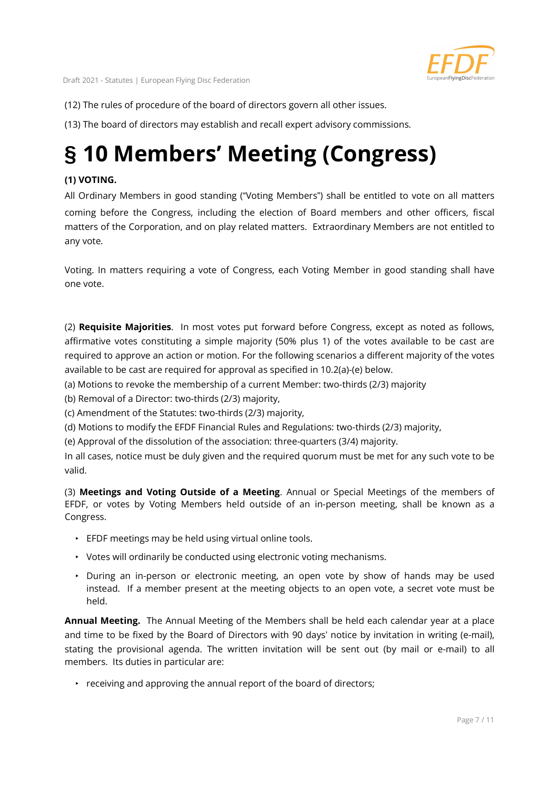

(12) The rules of procedure of the board of directors govern all other issues.

(13) The board of directors may establish and recall expert advisory commissions.

#### § 10 Members' Meeting (Congress)

#### (1) VOTING.

All Ordinary Members in good standing ("Voting Members") shall be entitled to vote on all matters coming before the Congress, including the election of Board members and other officers, fiscal matters of the Corporation, and on play related matters. Extraordinary Members are not entitled to any vote.

Voting. In matters requiring a vote of Congress, each Voting Member in good standing shall have one vote.

(2) Requisite Majorities. In most votes put forward before Congress, except as noted as follows, affirmative votes constituting a simple majority (50% plus 1) of the votes available to be cast are required to approve an action or motion. For the following scenarios a different majority of the votes available to be cast are required for approval as specified in 10.2(a)-(e) below.

(a) Motions to revoke the membership of a current Member: two-thirds (2/3) majority

(b) Removal of a Director: two-thirds (2/3) majority,

(c) Amendment of the Statutes: two-thirds (2/3) majority,

(d) Motions to modify the EFDF Financial Rules and Regulations: two-thirds (2/3) majority,

(e) Approval of the dissolution of the association: three-quarters (3/4) majority.

In all cases, notice must be duly given and the required quorum must be met for any such vote to be valid.

(3) Meetings and Voting Outside of a Meeting. Annual or Special Meetings of the members of EFDF, or votes by Voting Members held outside of an in-person meeting, shall be known as a Congress.

- ‣ EFDF meetings may be held using virtual online tools.
- ‣ Votes will ordinarily be conducted using electronic voting mechanisms.
- ‣ During an in-person or electronic meeting, an open vote by show of hands may be used instead. If a member present at the meeting objects to an open vote, a secret vote must be held.

Annual Meeting. The Annual Meeting of the Members shall be held each calendar year at a place and time to be fixed by the Board of Directors with 90 days' notice by invitation in writing (e-mail), stating the provisional agenda. The written invitation will be sent out (by mail or e-mail) to all members. Its duties in particular are:

 $\cdot$  receiving and approving the annual report of the board of directors;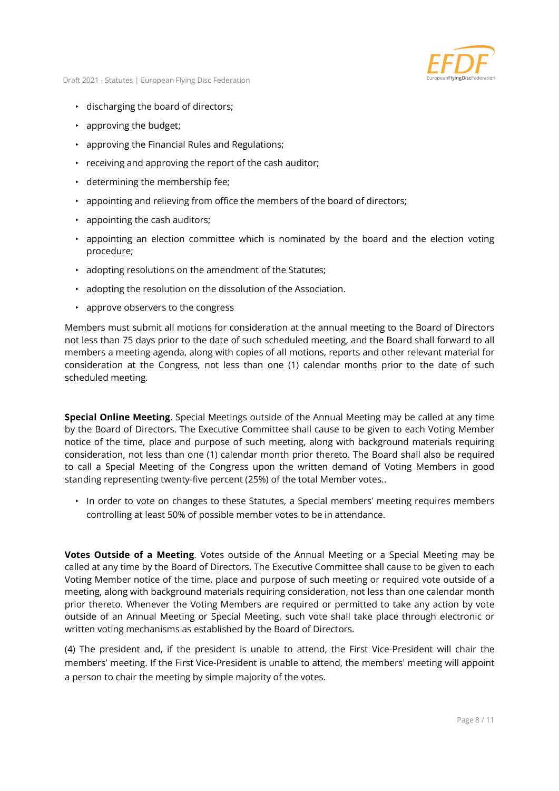

- ‣ discharging the board of directors;
- $\cdot$  approving the budget;
- ‣ approving the Financial Rules and Regulations;
- $\cdot$  receiving and approving the report of the cash auditor;
- ‣ determining the membership fee;
- ‣ appointing and relieving from office the members of the board of directors;
- $\cdot$  appointing the cash auditors;
- ‣ appointing an election committee which is nominated by the board and the election voting procedure;
- ‣ adopting resolutions on the amendment of the Statutes;
- ‣ adopting the resolution on the dissolution of the Association.
- ‣ approve observers to the congress

Members must submit all motions for consideration at the annual meeting to the Board of Directors not less than 75 days prior to the date of such scheduled meeting, and the Board shall forward to all members a meeting agenda, along with copies of all motions, reports and other relevant material for consideration at the Congress, not less than one (1) calendar months prior to the date of such scheduled meeting.

Special Online Meeting. Special Meetings outside of the Annual Meeting may be called at any time by the Board of Directors. The Executive Committee shall cause to be given to each Voting Member notice of the time, place and purpose of such meeting, along with background materials requiring consideration, not less than one (1) calendar month prior thereto. The Board shall also be required to call a Special Meeting of the Congress upon the written demand of Voting Members in good standing representing twenty-five percent (25%) of the total Member votes..

‣ In order to vote on changes to these Statutes, a Special members' meeting requires members controlling at least 50% of possible member votes to be in attendance.

Votes Outside of a Meeting. Votes outside of the Annual Meeting or a Special Meeting may be called at any time by the Board of Directors. The Executive Committee shall cause to be given to each Voting Member notice of the time, place and purpose of such meeting or required vote outside of a meeting, along with background materials requiring consideration, not less than one calendar month prior thereto. Whenever the Voting Members are required or permitted to take any action by vote outside of an Annual Meeting or Special Meeting, such vote shall take place through electronic or written voting mechanisms as established by the Board of Directors.

(4) The president and, if the president is unable to attend, the First Vice-President will chair the members' meeting. If the First Vice-President is unable to attend, the members' meeting will appoint a person to chair the meeting by simple majority of the votes.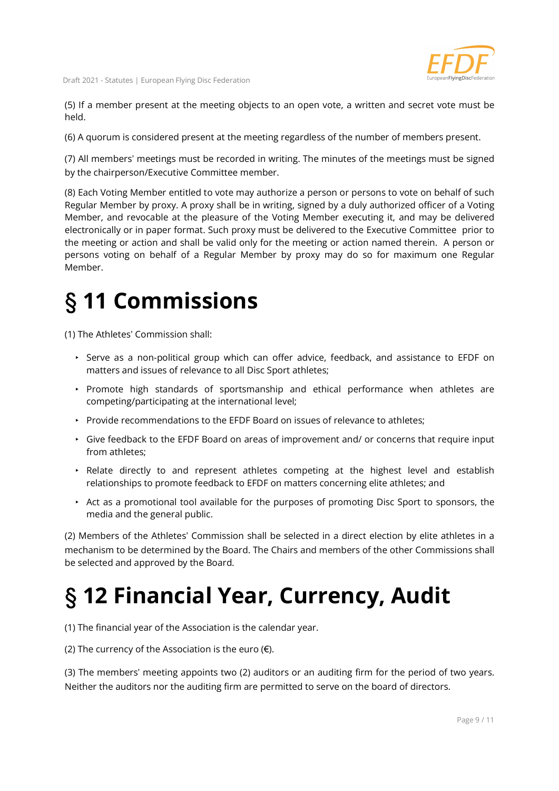(5) If a member present at the meeting objects to an open vote, a written and secret vote must be held.

(6) A quorum is considered present at the meeting regardless of the number of members present.

(7) All members' meetings must be recorded in writing. The minutes of the meetings must be signed by the chairperson/Executive Committee member.

(8) Each Voting Member entitled to vote may authorize a person or persons to vote on behalf of such Regular Member by proxy. A proxy shall be in writing, signed by a duly authorized officer of a Voting Member, and revocable at the pleasure of the Voting Member executing it, and may be delivered electronically or in paper format. Such proxy must be delivered to the Executive Committee prior to the meeting or action and shall be valid only for the meeting or action named therein. A person or persons voting on behalf of a Regular Member by proxy may do so for maximum one Regular Member.

## § 11 Commissions

(1) The Athletes' Commission shall:

- ‣ Serve as a non-political group which can offer advice, feedback, and assistance to EFDF on matters and issues of relevance to all Disc Sport athletes;
- ‣ Promote high standards of sportsmanship and ethical performance when athletes are competing/participating at the international level;
- ‣ Provide recommendations to the EFDF Board on issues of relevance to athletes;
- ‣ Give feedback to the EFDF Board on areas of improvement and/ or concerns that require input from athletes;
- ‣ Relate directly to and represent athletes competing at the highest level and establish relationships to promote feedback to EFDF on matters concerning elite athletes; and
- ‣ Act as a promotional tool available for the purposes of promoting Disc Sport to sponsors, the media and the general public.

(2) Members of the Athletes' Commission shall be selected in a direct election by elite athletes in a mechanism to be determined by the Board. The Chairs and members of the other Commissions shall be selected and approved by the Board.

## § 12 Financial Year, Currency, Audit

(1) The financial year of the Association is the calendar year.

(2) The currency of the Association is the euro  $(\epsilon)$ .

(3) The members' meeting appoints two (2) auditors or an auditing firm for the period of two years. Neither the auditors nor the auditing firm are permitted to serve on the board of directors.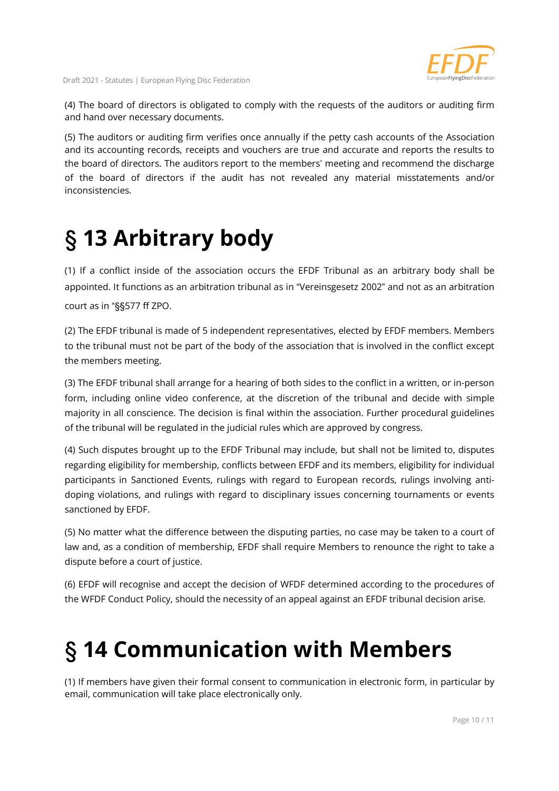

(4) The board of directors is obligated to comply with the requests of the auditors or auditing firm and hand over necessary documents.

(5) The auditors or auditing firm verifies once annually if the petty cash accounts of the Association and its accounting records, receipts and vouchers are true and accurate and reports the results to the board of directors. The auditors report to the members' meeting and recommend the discharge of the board of directors if the audit has not revealed any material misstatements and/or inconsistencies.

#### § 13 Arbitrary body

(1) If a conflict inside of the association occurs the EFDF Tribunal as an arbitrary body shall be appointed. It functions as an arbitration tribunal as in "Vereinsgesetz 2002" and not as an arbitration court as in "§§577 ff ZPO.

(2) The EFDF tribunal is made of 5 independent representatives, elected by EFDF members. Members to the tribunal must not be part of the body of the association that is involved in the conflict except the members meeting.

(3) The EFDF tribunal shall arrange for a hearing of both sides to the conflict in a written, or in-person form, including online video conference, at the discretion of the tribunal and decide with simple majority in all conscience. The decision is final within the association. Further procedural guidelines of the tribunal will be regulated in the judicial rules which are approved by congress.

(4) Such disputes brought up to the EFDF Tribunal may include, but shall not be limited to, disputes regarding eligibility for membership, conflicts between EFDF and its members, eligibility for individual participants in Sanctioned Events, rulings with regard to European records, rulings involving antidoping violations, and rulings with regard to disciplinary issues concerning tournaments or events sanctioned by EFDF.

(5) No matter what the difference between the disputing parties, no case may be taken to a court of law and, as a condition of membership, EFDF shall require Members to renounce the right to take a dispute before a court of justice.

(6) EFDF will recognise and accept the decision of WFDF determined according to the procedures of the WFDF Conduct Policy, should the necessity of an appeal against an EFDF tribunal decision arise.

## § 14 Communication with Members

(1) If members have given their formal consent to communication in electronic form, in particular by email, communication will take place electronically only.